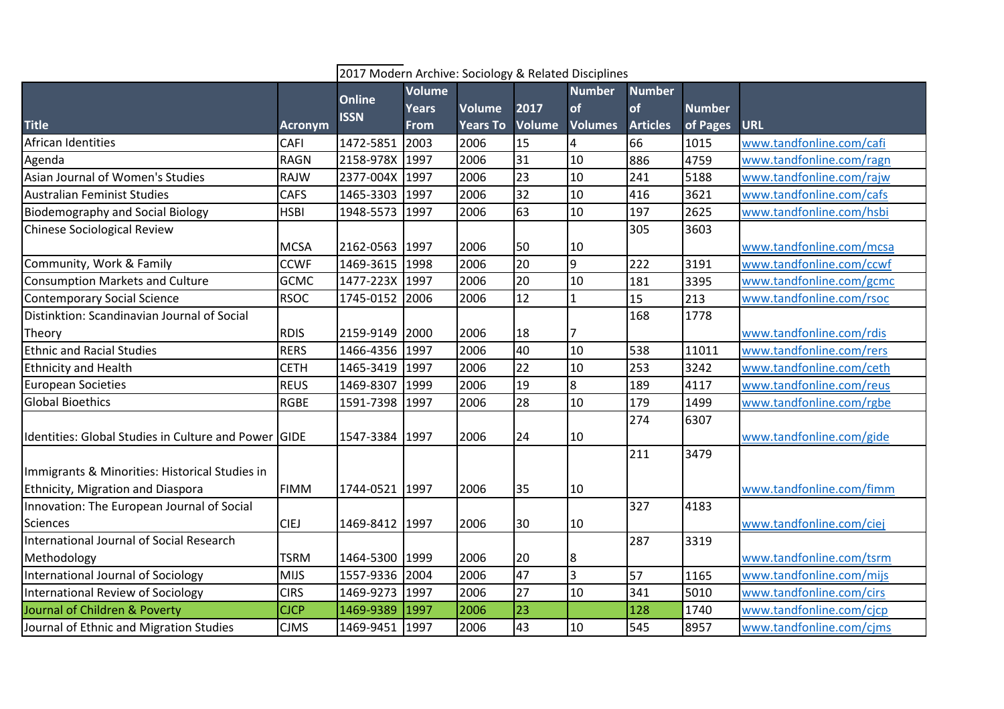|                                                      |                | 2017 Modern Archive: Sociology & Related Disciplines |              |                 |                 |                |                 |               |                          |  |
|------------------------------------------------------|----------------|------------------------------------------------------|--------------|-----------------|-----------------|----------------|-----------------|---------------|--------------------------|--|
| <b>Title</b>                                         | <b>Acronym</b> | <b>Online</b><br><b>ISSN</b>                         | Volume       |                 |                 | <b>Number</b>  | <b>Number</b>   |               |                          |  |
|                                                      |                |                                                      | <b>Years</b> | <b>Volume</b>   | 2017            | of             | of              | <b>Number</b> |                          |  |
|                                                      |                |                                                      | <b>From</b>  | <b>Years To</b> | Volume          | <b>Volumes</b> | <b>Articles</b> | of Pages      | URL                      |  |
| African Identities                                   | CAFI           | 1472-5851                                            | 2003         | 2006            | 15              | 4              | 66              | 1015          | www.tandfonline.com/cafi |  |
| Agenda                                               | <b>RAGN</b>    | 2158-978X 1997                                       |              | 2006            | 31              | 10             | 886             | 4759          | www.tandfonline.com/ragn |  |
| Asian Journal of Women's Studies                     | <b>RAJW</b>    | 2377-004X 1997                                       |              | 2006            | 23              | $10\,$         | 241             | 5188          | www.tandfonline.com/rajw |  |
| <b>Australian Feminist Studies</b>                   | <b>CAFS</b>    | 1465-3303                                            | 1997         | 2006            | 32              | 10             | 416             | 3621          | www.tandfonline.com/cafs |  |
| <b>Biodemography and Social Biology</b>              | <b>HSBI</b>    | 1948-5573                                            | 1997         | 2006            | 63              | 10             | 197             | 2625          | www.tandfonline.com/hsbi |  |
| Chinese Sociological Review                          |                |                                                      |              |                 |                 |                | 305             | 3603          |                          |  |
|                                                      | <b>MCSA</b>    | 2162-0563 1997                                       |              | 2006            | 50              | 10             |                 |               | www.tandfonline.com/mcsa |  |
| Community, Work & Family                             | <b>CCWF</b>    | 1469-3615                                            | 1998         | 2006            | 20              | 9              | 222             | 3191          | www.tandfonline.com/ccwf |  |
| <b>Consumption Markets and Culture</b>               | <b>GCMC</b>    | 1477-223X                                            | 1997         | 2006            | 20              | 10             | 181             | 3395          | www.tandfonline.com/gcmc |  |
| <b>Contemporary Social Science</b>                   | <b>RSOC</b>    | 1745-0152                                            | 2006         | 2006            | 12              | $\mathbf{1}$   | 15              | 213           | www.tandfonline.com/rsoc |  |
| Distinktion: Scandinavian Journal of Social          |                |                                                      |              |                 |                 |                | 168             | 1778          |                          |  |
| Theory                                               | <b>RDIS</b>    | 2159-9149 2000                                       |              | 2006            | 18              |                |                 |               | www.tandfonline.com/rdis |  |
| <b>Ethnic and Racial Studies</b>                     | <b>RERS</b>    | 1466-4356 1997                                       |              | 2006            | 40              | 10             | 538             | 11011         | www.tandfonline.com/rers |  |
| <b>Ethnicity and Health</b>                          | <b>CETH</b>    | 1465-3419 1997                                       |              | 2006            | 22              | 10             | 253             | 3242          | www.tandfonline.com/ceth |  |
| <b>European Societies</b>                            | <b>REUS</b>    | 1469-8307 1999                                       |              | 2006            | $\overline{19}$ | 8              | 189             | 4117          | www.tandfonline.com/reus |  |
| <b>Global Bioethics</b>                              | <b>RGBE</b>    | 1591-7398                                            | 1997         | 2006            | 28              | 10             | 179             | 1499          | www.tandfonline.com/rgbe |  |
|                                                      |                |                                                      |              |                 |                 |                | 274             | 6307          |                          |  |
| Identities: Global Studies in Culture and Power GIDE |                | 1547-3384 1997                                       |              | 2006            | 24              | 10             |                 |               | www.tandfonline.com/gide |  |
|                                                      |                |                                                      |              |                 |                 |                | 211             | 3479          |                          |  |
| Immigrants & Minorities: Historical Studies in       |                |                                                      |              |                 |                 |                |                 |               |                          |  |
| Ethnicity, Migration and Diaspora                    | <b>FIMM</b>    | 1744-0521 1997                                       |              | 2006            | 35              | 10             |                 |               | www.tandfonline.com/fimm |  |
| Innovation: The European Journal of Social           |                |                                                      |              |                 |                 |                | 327             | 4183          |                          |  |
| Sciences                                             | <b>CIEJ</b>    | 1469-8412 1997                                       |              | 2006            | 30              | 10             |                 |               | www.tandfonline.com/ciej |  |
| International Journal of Social Research             |                |                                                      |              |                 |                 |                | 287             | 3319          |                          |  |
| Methodology                                          | <b>TSRM</b>    | 1464-5300 1999                                       |              | 2006            | 20              | 8              |                 |               | www.tandfonline.com/tsrm |  |
| International Journal of Sociology                   | <b>MIJS</b>    | 1557-9336 2004                                       |              | 2006            | 47              | 3              | 57              | 1165          | www.tandfonline.com/mijs |  |
| International Review of Sociology                    | <b>CIRS</b>    | 1469-9273 1997                                       |              | 2006            | $\overline{27}$ | 10             | 341             | 5010          | www.tandfonline.com/cirs |  |
| Journal of Children & Poverty                        | <b>CJCP</b>    | 1469-9389                                            | 1997         | 2006            | 23              |                | 128             | 1740          | www.tandfonline.com/cjcp |  |
| Journal of Ethnic and Migration Studies              | <b>CJMS</b>    | 1469-9451 1997                                       |              | 2006            | 43              | 10             | 545             | 8957          | www.tandfonline.com/cjms |  |